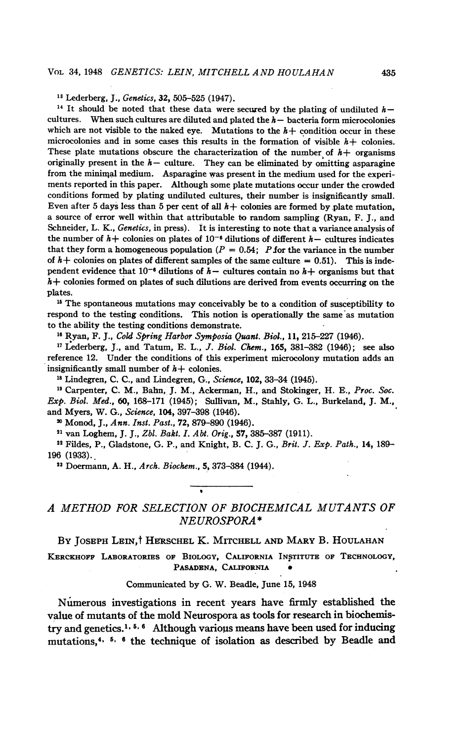<sup>13</sup> Lederberg, J., Genetics, 32, 505-525 (1947).

<sup>14</sup> It should be noted that these data were secured by the plating of undiluted  $h$ cultures. When such cultures are diluted and plated the  $h-$  bacteria form microcolonies which are not visible to the naked eye. Mutations to the  $h+$  condition occur in these microcolonies and in some cases this results in the formation of visible  $h$  + colonies. These plate mutations obscure the characterization of the number of  $h$ + organisms originally present in the  $h-$  culture. They can be eliminated by omitting asparagine from the minimal medium. Asparagine was present in the medium used for the experiments reported in this paper. Although some plate mutations occur under the crowded conditions formed by plating undiluted cultures, their number is insignificantly small. Even after 5 days less than 5 per cent of all  $h$  + colonies are formed by plate mutation, a source of error well within that attributable to random sampling (Ryan, F. J., and Schneider, L. K., Genetics, in press). It is interesting to note that a variance analysis of the number of  $h+$  colonies on plates of  $10^{-6}$  dilutions of different  $h-$  cultures indicates that they form a homogeneous population ( $P = 0.54$ ; P for the variance in the number of  $h$ + colonies on plates of different samples of the same culture = 0.51). This is independent evidence that  $10^{-6}$  dilutions of  $h-$  cultures contain no  $h+$  organisms but that  $h+$  colonies formed on plates of such dilutions are derived from events occurring on the plates.

<sup>15</sup> The spontaneous mutations may conceivably be to a condition of susceptibility to respond to the testing conditions. This notion is operationally the same as mutation to the ability the testing conditions demonstrate.

<sup>16</sup> Ryan, F. J., Cold Spring Harbor Symposia Quant. Biol., 11, 215-227 (1946).

 $17$  Lederberg, J., and Tatum, E. L., J. Biol. Chem., 165, 381-382 (1946); see also reference 12. Under the conditions of this experiment microcolony mutation adds an insignificantly small number of  $h$  + colonies.

<sup>18</sup> Lindegren, C. C., and Lindegren, G., Science, 102, 33-34 (1945).

<sup>19</sup> Carpenter, C. M., Bahn, J. M., Ackerman, H., and Stokinger, H. E., Proc. Soc. Exp. Biol. Med., 60, 168-171 (1945); Sullivan, M., Stahly, G. L., Burkeland, J. M., and Myers, W. G., Science, 104, 397-398 (1946).

<sup>20</sup> Monod, J., Ann. Inst. Past., 72, 879-890 (1946).

<sup>21</sup> van Loghem, J. J., Zbl. Bakt. I. Abt. Orig., 57, 385-387 (1911).

 $22$  Fildes, P., Gladstone, G. P., and Knight, B. C. J. G., Brit. J. Exp. Path., 14, 189-196 (1933).

<sup>23</sup> Doermann, A. H., Arch. Biochem., 5, 373-384 (1944).

# A METHOD FOR SELECTION OF BIOCHEMICAL MUTANTS OF NEUROSPORA \*

BY JOSEPH LEIN,<sup>†</sup> HERSCHEL K. MITCHELL AND MARY B. HOULAHAN

KERCKHOFF LABORATORIES OF BIOLOGY, CALIFORNIA INSTITUTE OF TECHNOLOGY, PASADENA, CALIFORNIA

#### Communicated by G. W. Beadle, June 15, 1948

Numerous investigations in recent-years have firmly established the value of mutants of the mold Neurospora as tools for research in biochemistry and genetics.<sup>1,  $5, 6$ </sup> Although various means have been used for inducing mutations,<sup>4,  $5$ ,  $6$ </sup> the technique of isolation as described by Beadle and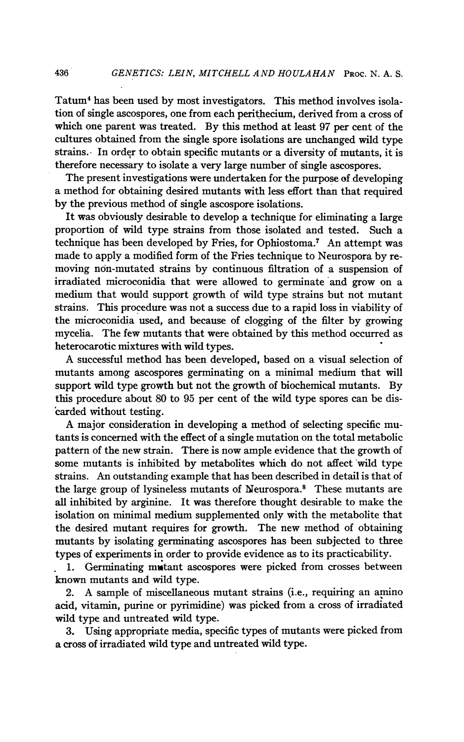Tatum4 has been used by most investigators. This method involves isolation of single ascospores, one from each perithecium, derived from a cross of which one parent was treated. By this method at least 97 per cent of the cultures obtained from the single spore isolations are unchanged wild type strains.- In order to obtain specific mutants or a diversity of mutants, it is therefore necessary to isolate a very large number of single ascospores.

The present investigations were undertaken for the purpose of developing a method for obtaining desired mutants with less effort than that required by the previous method of single ascospore isolations.

It was obviously desirable to develop a technique for eliminating a large proportion of wild type strains from those isolated and tested. Such a technique has been developed by Fries, for Ophiostoma.7 An attempt was made to apply a modified form of the Fries technique to Neurospora by removing non-mutated strains by continuous filtration of a suspension of irradiated microconidia that were allowed to germinate and grow on a medium that would support growth of wild type strains but not mutant strains. This procedure was not a success due to a rapid loss in viability of the microconidia used, and because of clogging of the filter by growing mycelia. The few mutants that were obtained by this method occurred as heterocarotic mixtures with wild types.

A successful method has been developed, based on <sup>a</sup> visual selection of mutants among ascospores germinating on a minimal medium that will support wild type growth but not the growth of biochemical mutants. By this procedure about 80 to 95 per cent of the wild type spores can be discarded without testing.

A major consideration in developing <sup>a</sup> method of selecting specific mutants is concerned with the effect of a single mutation on the total metabolic pattern of the new strain. There is now ample evidence that the growth of some mutants is inhibited by metabolites which do not affect 'wild type strains. An outstanding example that has been described in detail is that of the large group of lysineless mutants of Neurospora.8 These mutants are all inhibited by arginine. It was therefore thought desirable to make the isolation on minimal medium supplemented only with the metabolite that the desired mutant requires for growth. The new method of obtaining mutants by isolating germinating ascospores has been subjected to three types of experiments in order to provide evidence as to its practicability.

1. Germinating mutant ascospores were picked from crosses between known mutants and wild type.

2. A sample of miscellaneous mutant strains (i.e., requiring an amino acid, vitamin, purine or pyrimidine) was picked from a cross of irradiated wild type and untreated wild type.

3. Using appropriate media, specific types of mutants were picked from a cross of irradiated wild type and untreated wild type.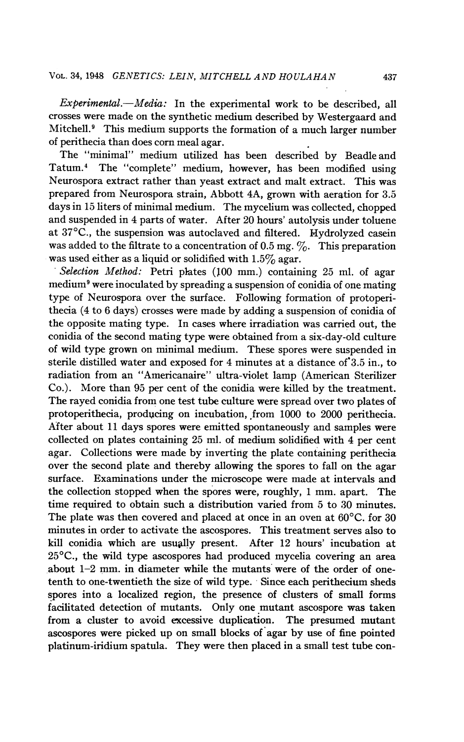$Experimental. -Media:$  In the experimental work to be described, all crosses were made on the synthetic medium described by Westergaard and Mitchell.9 This medium supports the formation of a much larger number of perithecia than does corn meal agar.

The "minimal" medium utilized has been described by Beadle and Tatum.4 The "complete" medium, however, has been modified using Neurospora extract rather than yeast extract and malt extract. This was prepared from Neurospora strain, Abbott 4A, grown with aeration for 3.5 days in 15 liters of minimal medium. The mycelium was collected, chopped and suspended in 4 parts of water. After 20 hours' autolysis under toluene at 37°C., the suspension was autoclaved and filtered. Hydrolyzed casein was added to the filtrate to a concentration of 0.5 mg.  $\%$ . This preparation was used either as a liquid or solidified with  $1.5\%$  agar.

Selection Method: Petri plates (100 mm.) containing 25 ml. of agar medium9 were inoculated by spreading a suspension of conidia of one mating type of Neurospora over the surface. Following formation of protoperithecia (4 to 6 days) crosses were made by adding a suspension of conidia of the opposite mating type. In cases where irradiation was carried out, the conidia of the second mating type were obtained from a six-day-old culture of wild type grown on minimal medium. These spores were suspended in sterile distilled water and exposed for 4 minutes at a distance of 3.5 in., to radiation from an "Americanaire" ultra-violet lamp (American Sterilizer Co.). More than 95 per cent of the conidia were killed by the treatment. The rayed conidia from one test tube culture were spread over two plates of protoperithecia, producing on incubation, from 1000 to 2000 perithecia. After about 11 days spores were emitted spontaneously and samples were collected on plates containing 25 ml. of medium solidified with 4 per cent agar. Collections were made by inverting the plate containing perithecia over the second plate and thereby allowing the spores to fall on the agar surface. Examinations under the microscope were made at intervals and the collection stopped when the spores were, roughly, <sup>1</sup> mm. apart. The time required to obtain such a distribution varied from 5 to 30 minutes. The plate was then covered and placed at once in an oven at 60<sup>o</sup>C, for 30 minutes in order to activate the ascospores. This treatment serves also to kill conidia which are usually present. After 12 hours' incubation at 25°C., the wild type ascospores had produced mycelia covering an area about 1-2 mm. in diameter while the mutants were of the order of onetenth to one-twentieth the size of wild type. 'Since each perithecium sheds spores into a localized region, the presence of clusters of small forms facilitated detection of mutants. Only one mutant ascospore was taken from a cluster to avoid excessive duplication. The presumed mutant ascospores were picked up on small blocks of agar by use of fine pointed platinum-iridium spatula. They were then placed in a small test tube con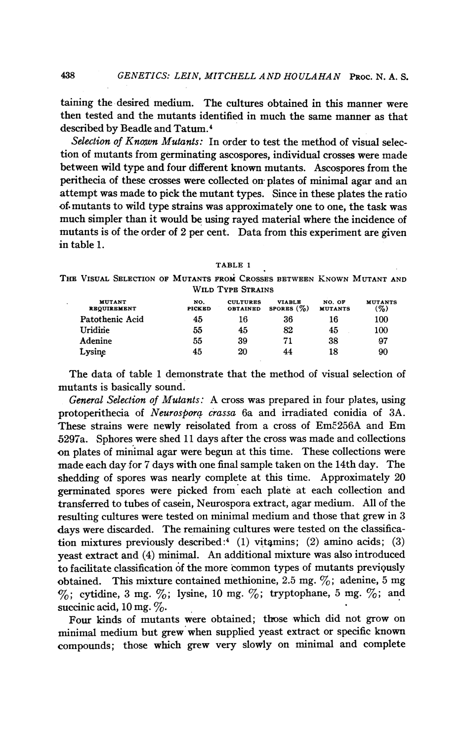taining the desired medium. The cultures obtained in this manner were then tested and the mutants identified in much the same manner as that described by Beadle and Tatum.4

Selection of Known Mutants: In order to test the method of visual selection of mutants from germinating ascospores, individual crosses were made between wild type and four different known mutants. Ascospores from the perithecia of these crosses were collected on plates of minimal agar and an attempt was made to pick the mutant types. Since in these plates the ratio of. mutants to wild type strains was approximately one to one, the task was much simpler than it would be using rayed material where the incidence of mutants is of the order of 2 per cent. Data from this experiment are given in table 1.

TABLE <sup>1</sup>

THE VISUAL SELECTION OF MUTANTS FROM CROSSES BETWEEN KNOWN MUTANT AND WILD TYPE STRAINS

| <b>MUTANT</b><br><b>REQUIREMENT</b> | NO.<br><b>PICKED</b> | <b>CULTURES</b><br><b>OBTAINED</b> | <b>VIABLE</b><br>SPORES $(\%)$ | NO. OF<br><b>MUTANTS</b> | <b>MUTANTS</b><br>(%) |
|-------------------------------------|----------------------|------------------------------------|--------------------------------|--------------------------|-----------------------|
| Patothenic Acid                     | 45                   | 16                                 | 36                             | 16                       | 100                   |
| Uridine                             | 55                   | 45                                 | 82                             | 45                       | 100                   |
| Adenine                             | 55                   | 39                                 | 71                             | 38                       | 97                    |
| Lysine                              | 45                   | 20                                 | 44                             | 18                       | 90                    |

The data of table <sup>1</sup> demonstrate that the method of visual selection of mutants is basically sound.

General Selection of Mutants: A cross was prepared in four plates, using protoperithecia of Neurospora crassa 6a and irradiated conidia of 3A. These strains were newly reisolated from <sup>a</sup> cross of Em5256A and Em 5297a. Sphores were shed 11 days after the cross was made and collections on plates of minimal agar were begun at this time. These collections were made each day for 7 days with one final sample taken on the 14th day. The shedding of spores was nearly complete at this time. Approximately 20 germinated spores were picked from each plate at each collection and transferred to tubes of casein, Neurospora extract, agar medium. All of the resulting cultures were tested on minimal medium and those that grew in 3 days were discarded. The remaining cultures were tested on the classification mixtures previously described:<sup>4</sup> (1) vitamins; (2) amino acids; (3) yeast extract and (4) minimal. An additional mixture was also introduced to facilitate classification of the more common types of mutants previgusly obtained. This mixture contained methionine, 2.5 mg.  $\%$ ; adenine, 5 mg  $\%$ ; cytidine, 3 mg.  $\%$ ; lysine, 10 mg.  $\%$ ; tryptophane, 5 mg.  $\%$ ; and succinic acid,  $10 \text{ mg}$ .  $\%$ .

Four kinds of mutants were obtained; those which did not grow on minimal medium but grew when supplied yeast extract or specific known compounds; those which grew very slowly on minimal and complete

438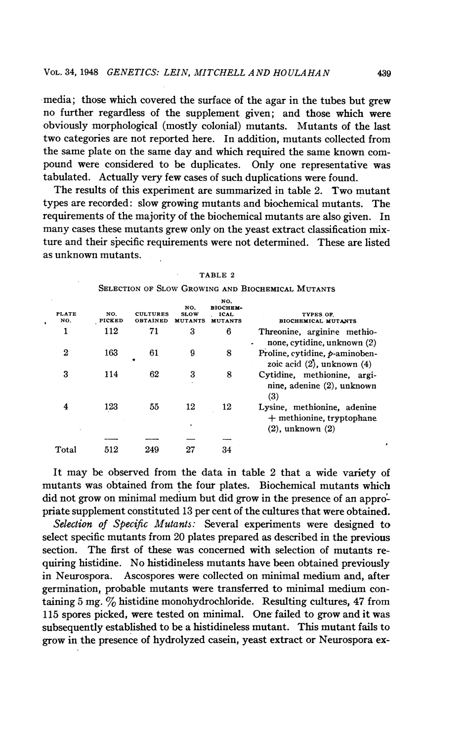media; those which covered the surface of the agar in the tubes but grew no further regardless of the supplement given; and those which were obviously morphological (mostly colonial) mutants. Mutants of the last two categories are not reported here. In addition, mutants collected from the same plate on the same day and which required the same known compound were considered to be duplicates. Only one representative was tabulated. Actually very few cases of such duplications were found.

The results of this experiment are summarized in table 2. Two mutant types are recorded: slow growing mutants and biochemical mutants. The requirements of the majority of the biochemical mutants are also given. In many cases these mutants grew only on the yeast extract classification mixture and their specific requirements were not determined. These are listed as unknown mutants.

| <b>PLATE</b><br>NO. | NO.<br><b>PICKED</b> | <b>CULTURES</b><br><b>OBTAINED</b> | NO.<br><b>SLOW</b><br><b>MUTANTS</b> | NO.<br>віоснем-<br><b>ICAL</b><br><b>MUTANTS</b> | TYPES OF.<br><b>BIOCHEMICAL MUTANTS</b>                                             |
|---------------------|----------------------|------------------------------------|--------------------------------------|--------------------------------------------------|-------------------------------------------------------------------------------------|
| 1                   | 112                  | 71                                 | 3                                    | 6                                                | Threonine, arginine methio-<br>none, cytidine, unknown (2)                          |
| $\boldsymbol{2}$    | 163                  | 61<br>٠                            | 9                                    | 8                                                | Proline, cytidine, $p$ -aminoben-<br>zoic acid $(2)$ , unknown $(4)$                |
| З                   | 114                  | 62                                 | 3                                    | 8                                                | Cytidine, methionine, argi-<br>nine, adenine (2), unknown<br>(3)                    |
| 4                   | 123                  | 55                                 | 12                                   | 12                                               | Lysine, methionine, adenine<br>$+$ methionine, tryptophane<br>$(2)$ , unknown $(2)$ |
|                     |                      |                                    |                                      |                                                  |                                                                                     |
| Total               | 512                  | 249                                | 27                                   | 34                                               |                                                                                     |

| L<br>г<br>×<br>٠ |  |
|------------------|--|
|------------------|--|

SELECTION OF SLOW GROWING AND BIOCHEMICAL MUTANTS

It may be observed from the data in table 2 that a wide variety of mutants was obtained from the four plates. Biochemical mutants which did not grow on minimal medium but did grow in the presence of an appropriate supplement constituted 13 per cent of the cultures that were obtained.

Selection of Specific Mutants: Several experiments were designed to select specific mutants from 20 plates prepared as described in the previous section. The first of these was concerned with selection of mutants requiring histidine. No histidineless mutants have been obtained previously in Neurospora. Ascospores were collected on minimal medium and, after germination, probable mutants were transferred to minimal medium containing 5 mg.  $\%$  histidine monohydrochloride. Resulting cultures, 47 from 115 spores picked, were tested on minimal. One failed to grow and it was subsequently established to be a histidineless mutant. This mutant fails to grow in the presence of hydrolyzed casein, yeast extract or Neurospora ex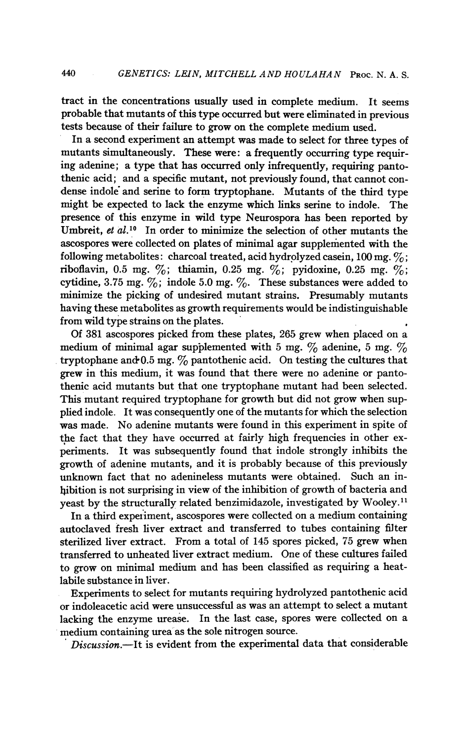tract in the concentrations usually used in complete medium. It seems probable that mutants of this type occurred but were eliminated in previous tests because of their failure to grow on the complete medium used.

In a second experiment an attempt was made to select for three types of mutants simultaneously. These were: a frequently occurring type requiring adenine; a type that has occurred only infrequently, requiring pantothenic acid; and a specific mutant, not previously found, that cannot condense indole and serine to form tryptophane. Mutants of the third type might be expected to lack the enzyme which links serine to indole. The presence of this enzyme in wild type Neurospora has been reported by Umbreit, et al.<sup>10</sup> In order to minimize the selection of other mutants the ascospores were collected on plates of minimal agar supplemented with the following metabolites: charcoal treated, acid hydrolyzed casein, 100 mg.  $\%$ ; riboflavin, 0.5 mg.  $\%$ ; thiamin, 0.25 mg.  $\%$ ; pyidoxine, 0.25 mg.  $\%$ ; cytidine, 3.75 mg.  $\%$ ; indole 5.0 mg.  $\%$ . These substances were added to minimize the picking of undesired mutant strains. Presumably mutants having these metabolites as growth requirements would be indistinguishable from wild type strains on the plates.

Of 381 ascospores picked from these plates, 265 grew when placed on a medium of minimal agar supplemented with 5 mg.  $\%$  adenine, 5 mg.  $\%$ tryptophane and 0.5 mg.  $\%$  pantothenic acid. On testing the cultures that grew in this medium, it was found that there were no adenine or pantothenic acid mutants but that one tryptophane mutant had been selected. This mutant required tryptophane for growth but did not grow when supplied indole. It was consequently one of the mutants for which the selection was made. No adenine mutants were found in this experiment in spite of the fact that they have occurred at fairly high frequencies in other experiments. It was subsequently found that indole strongly inhibits the growth of adenine mutants, and it is probably because of this previously unknown fact that no adenineless mutants were obtained. Such an inbibition is not surprising in view of the inhibition of growth of bacteria and yeast by the structurally related benzimidazole, investigated by Wooley.<sup>11</sup>

In a third experiment, ascospores were collected on a medium containing autoclaved fresh liver extract and transferred to tubes containing filter sterilized liver extract. From a total of 145 spores picked, 75 grew when transferred to unheated liver extract medium. One of these cultures failed to grow on minimal medium and has been classified as requiring a heatlabile substance in liver.

Experiments to select for mutants requiring hydrolyzed pantothenic acid or indoleacetic acid were unsuccessful as was an attempt to select a mutant lacking the enzyme urease. In the last case, spores were collected on a medium containing urea as the sole nitrogen source.

Discussion.-It is evident from the experimental data that considerable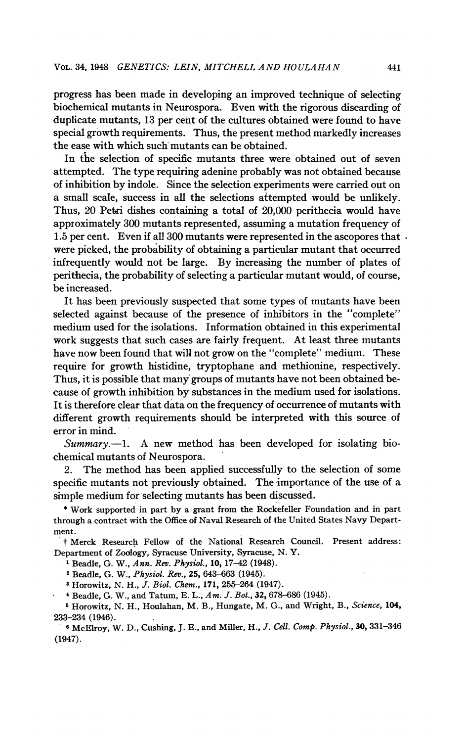progress has been made in developing an improved technique of selecting biochemical mutants in Neurospora. Even with the rigorous discarding of duplicate mutants, 13 per cent of the cultures obtained were found to have special growth requirements. Thus, the present method markedly increases the ease with which such mutants can be obtained.

In the selection of specific mutants three were obtained out of seven attempted. The type requiring adenine probably was not obtained because of inhibition by indole. Since the selection experiments were carried out on a small scale, success in all the selections attempted would be unlikely. Thus, 20 Petri dishes containing a total of 20,000 perithecia would have approximately 300 mutants represented, assuming a mutation frequency of 1.5 per cent. Even if all 300 mutants were represented in the ascopores that  $\cdot$ were picked, the probability of obtaining a particular mutant that occurred infrequently would not be large. By increasing the number of plates of perithecia, the probability of selecting a particular mutant would, of course, be increased.

It has been previously suspected that some types of mutants have been selected against because of the presence of inhibitors in the "complete" medium used for the isolations. Information obtained in this experimental work suggests that such cases are fairly frequent. At least three mutants have now been found that will not grow on the "complete" medium. These require for growth histidine, tryptophane and methionine, respectively. Thus, it is possible that many groups of mutants have not been obtained because of growth inhibition by substances in the medium used for isolations. It is therefore clear that data on the frequency of occurrence of mutants with different growth requirements should be interpreted with this source of error in mind.

 $Summary. -1.$  A new method has been developed for isolating biochemical mutants of Neurospora.

2. The method has been applied successfully to the selection of some specific mutants not previously obtained. The importance of the use of a simple medium for selecting mutants has been discussed.

\* Work supported in part by a grant from the Rockefeller Foundation and in part through a contract with the Office of Naval Research of the United States Navy Department.

<sup>t</sup> Merck Research Fellow of the National Research Council. Present address: Department of Zoology, Syracuse University, Syracuse, N. Y.

<sup>1</sup> Beadle, G. W., Ann. Rev. Physiol., 10, 17-42 (1948).

<sup>2</sup> Beadle, G. W., Physiol. Rev., 25, 643-663 (1945).

<sup>3</sup> Horowitz, N. H., J. Biol. Chem., 171, 255-264 (1947).

<sup>4</sup> Beadle, G. W., and Tatum, E. L., Am. J. Bot., 32, 678-686 (1945).

<sup>5</sup> Horowitz, N. H., Houlahan, M. B., Hungate, M. G., and Wright, B., Science, 104, 233-234 (1946).

<sup>6</sup> McElroy, W. D., Cushing, J. E., and Miller, H., J. Cell. Comp. Physiol., 30, 331-346 (1947).